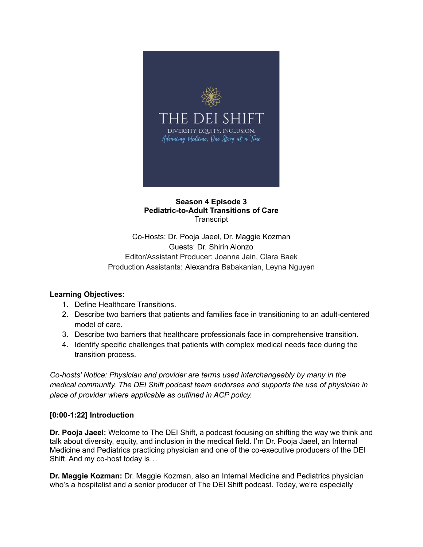

### **Season 4 Episode 3 Pediatric-to-Adult Transitions of Care Transcript**

Co-Hosts: Dr. Pooja Jaeel, Dr. Maggie Kozman Guests: Dr. Shirin Alonzo Editor/Assistant Producer: Joanna Jain, Clara Baek Production Assistants: Alexandra Babakanian, Leyna Nguyen

# **Learning Objectives:**

- 1. Define Healthcare Transitions.
- 2. Describe two barriers that patients and families face in transitioning to an adult-centered model of care.
- 3. Describe two barriers that healthcare professionals face in comprehensive transition.
- 4. Identify specific challenges that patients with complex medical needs face during the transition process.

*Co-hosts' Notice: Physician and provider are terms used interchangeably by many in the medical community. The DEI Shift podcast team endorses and supports the use of physician in place of provider where applicable as outlined in ACP policy.*

# **[0:00-1:22] Introduction**

**Dr. Pooja Jaeel:** Welcome to The DEI Shift, a podcast focusing on shifting the way we think and talk about diversity, equity, and inclusion in the medical field. I'm Dr. Pooja Jaeel, an Internal Medicine and Pediatrics practicing physician and one of the co-executive producers of the DEI Shift. And my co-host today is…

**Dr. Maggie Kozman:** Dr. Maggie Kozman, also an Internal Medicine and Pediatrics physician who's a hospitalist and a senior producer of The DEI Shift podcast. Today, we're especially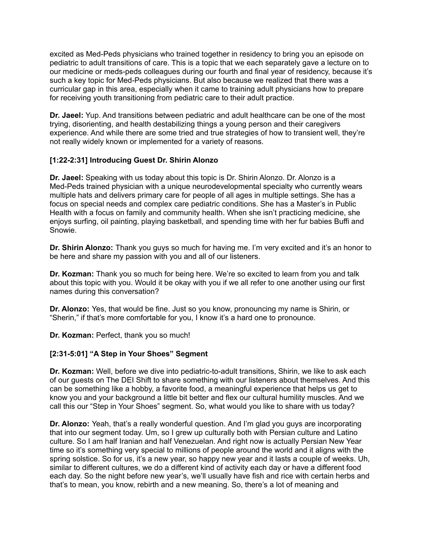excited as Med-Peds physicians who trained together in residency to bring you an episode on pediatric to adult transitions of care. This is a topic that we each separately gave a lecture on to our medicine or meds-peds colleagues during our fourth and final year of residency, because it's such a key topic for Med-Peds physicians. But also because we realized that there was a curricular gap in this area, especially when it came to training adult physicians how to prepare for receiving youth transitioning from pediatric care to their adult practice.

**Dr. Jaeel:** Yup. And transitions between pediatric and adult healthcare can be one of the most trying, disorienting, and health destabilizing things a young person and their caregivers experience. And while there are some tried and true strategies of how to transient well, they're not really widely known or implemented for a variety of reasons.

## **[1:22-2:31] Introducing Guest Dr. Shirin Alonzo**

**Dr. Jaeel:** Speaking with us today about this topic is Dr. Shirin Alonzo. Dr. Alonzo is a Med-Peds trained physician with a unique neurodevelopmental specialty who currently wears multiple hats and delivers primary care for people of all ages in multiple settings. She has a focus on special needs and complex care pediatric conditions. She has a Master's in Public Health with a focus on family and community health. When she isn't practicing medicine, she enjoys surfing, oil painting, playing basketball, and spending time with her fur babies Buffi and Snowie.

**Dr. Shirin Alonzo:** Thank you guys so much for having me. I'm very excited and it's an honor to be here and share my passion with you and all of our listeners.

**Dr. Kozman:** Thank you so much for being here. We're so excited to learn from you and talk about this topic with you. Would it be okay with you if we all refer to one another using our first names during this conversation?

**Dr. Alonzo:** Yes, that would be fine. Just so you know, pronouncing my name is Shirin, or "Sherin," if that's more comfortable for you, I know it's a hard one to pronounce.

**Dr. Kozman:** Perfect, thank you so much!

## **[2:31-5:01] "A Step in Your Shoes" Segment**

**Dr. Kozman:** Well, before we dive into pediatric-to-adult transitions, Shirin, we like to ask each of our guests on The DEI Shift to share something with our listeners about themselves. And this can be something like a hobby, a favorite food, a meaningful experience that helps us get to know you and your background a little bit better and flex our cultural humility muscles. And we call this our "Step in Your Shoes" segment. So, what would you like to share with us today?

**Dr. Alonzo:** Yeah, that's a really wonderful question. And I'm glad you guys are incorporating that into our segment today. Um, so I grew up culturally both with Persian culture and Latino culture. So I am half Iranian and half Venezuelan. And right now is actually Persian New Year time so it's something very special to millions of people around the world and it aligns with the spring solstice. So for us, it's a new year, so happy new year and it lasts a couple of weeks. Uh, similar to different cultures, we do a different kind of activity each day or have a different food each day. So the night before new year's, we'll usually have fish and rice with certain herbs and that's to mean, you know, rebirth and a new meaning. So, there's a lot of meaning and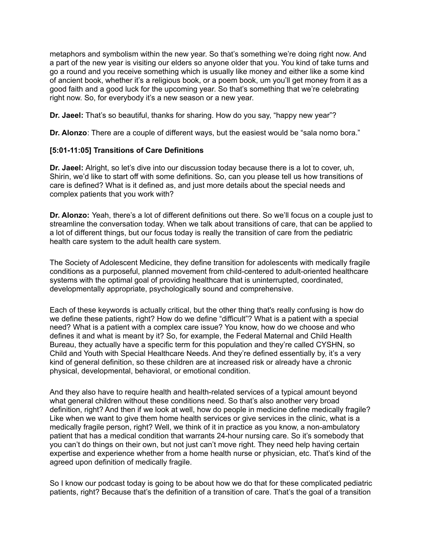metaphors and symbolism within the new year. So that's something we're doing right now. And a part of the new year is visiting our elders so anyone older that you. You kind of take turns and go a round and you receive something which is usually like money and either like a some kind of ancient book, whether it's a religious book, or a poem book, um you'll get money from it as a good faith and a good luck for the upcoming year. So that's something that we're celebrating right now. So, for everybody it's a new season or a new year.

**Dr. Jaeel:** That's so beautiful, thanks for sharing. How do you say, "happy new year"?

**Dr. Alonzo**: There are a couple of different ways, but the easiest would be "sala nomo bora."

## **[5:01-11:05] Transitions of Care Definitions**

**Dr. Jaeel:** Alright, so let's dive into our discussion today because there is a lot to cover, uh, Shirin, we'd like to start off with some definitions. So, can you please tell us how transitions of care is defined? What is it defined as, and just more details about the special needs and complex patients that you work with?

**Dr. Alonzo:** Yeah, there's a lot of different definitions out there. So we'll focus on a couple just to streamline the conversation today. When we talk about transitions of care, that can be applied to a lot of different things, but our focus today is really the transition of care from the pediatric health care system to the adult health care system.

The Society of Adolescent Medicine, they define transition for adolescents with medically fragile conditions as a purposeful, planned movement from child-centered to adult-oriented healthcare systems with the optimal goal of providing healthcare that is uninterrupted, coordinated, developmentally appropriate, psychologically sound and comprehensive.

Each of these keywords is actually critical, but the other thing that's really confusing is how do we define these patients, right? How do we define "difficult"? What is a patient with a special need? What is a patient with a complex care issue? You know, how do we choose and who defines it and what is meant by it? So, for example, the Federal Maternal and Child Health Bureau, they actually have a specific term for this population and they're called CYSHN, so Child and Youth with Special Healthcare Needs. And they're defined essentially by, it's a very kind of general definition, so these children are at increased risk or already have a chronic physical, developmental, behavioral, or emotional condition.

And they also have to require health and health-related services of a typical amount beyond what general children without these conditions need. So that's also another very broad definition, right? And then if we look at well, how do people in medicine define medically fragile? Like when we want to give them home health services or give services in the clinic, what is a medically fragile person, right? Well, we think of it in practice as you know, a non-ambulatory patient that has a medical condition that warrants 24-hour nursing care. So it's somebody that you can't do things on their own, but not just can't move right. They need help having certain expertise and experience whether from a home health nurse or physician, etc. That's kind of the agreed upon definition of medically fragile.

So I know our podcast today is going to be about how we do that for these complicated pediatric patients, right? Because that's the definition of a transition of care. That's the goal of a transition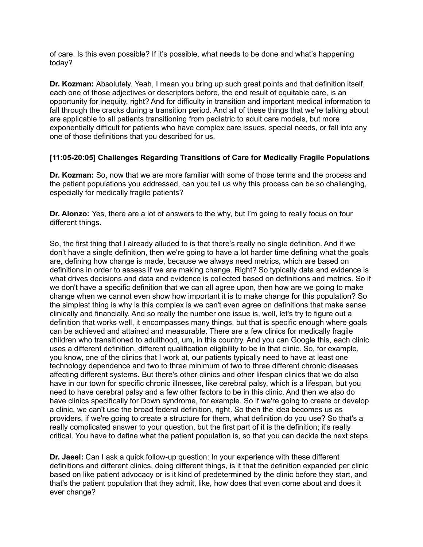of care. Is this even possible? If it's possible, what needs to be done and what's happening today?

**Dr. Kozman:** Absolutely. Yeah, I mean you bring up such great points and that definition itself, each one of those adjectives or descriptors before, the end result of equitable care, is an opportunity for inequity, right? And for difficulty in transition and important medical information to fall through the cracks during a transition period. And all of these things that we're talking about are applicable to all patients transitioning from pediatric to adult care models, but more exponentially difficult for patients who have complex care issues, special needs, or fall into any one of those definitions that you described for us.

## **[11:05-20:05] Challenges Regarding Transitions of Care for Medically Fragile Populations**

**Dr. Kozman:** So, now that we are more familiar with some of those terms and the process and the patient populations you addressed, can you tell us why this process can be so challenging, especially for medically fragile patients?

**Dr. Alonzo:** Yes, there are a lot of answers to the why, but I'm going to really focus on four different things.

So, the first thing that I already alluded to is that there's really no single definition. And if we don't have a single definition, then we're going to have a lot harder time defining what the goals are, defining how change is made, because we always need metrics, which are based on definitions in order to assess if we are making change. Right? So typically data and evidence is what drives decisions and data and evidence is collected based on definitions and metrics. So if we don't have a specific definition that we can all agree upon, then how are we going to make change when we cannot even show how important it is to make change for this population? So the simplest thing is why is this complex is we can't even agree on definitions that make sense clinically and financially. And so really the number one issue is, well, let's try to figure out a definition that works well, it encompasses many things, but that is specific enough where goals can be achieved and attained and measurable. There are a few clinics for medically fragile children who transitioned to adulthood, um, in this country. And you can Google this, each clinic uses a different definition, different qualification eligibility to be in that clinic. So, for example, you know, one of the clinics that I work at, our patients typically need to have at least one technology dependence and two to three minimum of two to three different chronic diseases affecting different systems. But there's other clinics and other lifespan clinics that we do also have in our town for specific chronic illnesses, like cerebral palsy, which is a lifespan, but you need to have cerebral palsy and a few other factors to be in this clinic. And then we also do have clinics specifically for Down syndrome, for example. So if we're going to create or develop a clinic, we can't use the broad federal definition, right. So then the idea becomes us as providers, if we're going to create a structure for them, what definition do you use? So that's a really complicated answer to your question, but the first part of it is the definition; it's really critical. You have to define what the patient population is, so that you can decide the next steps.

**Dr. Jaeel:** Can I ask a quick follow-up question: In your experience with these different definitions and different clinics, doing different things, is it that the definition expanded per clinic based on like patient advocacy or is it kind of predetermined by the clinic before they start, and that's the patient population that they admit, like, how does that even come about and does it ever change?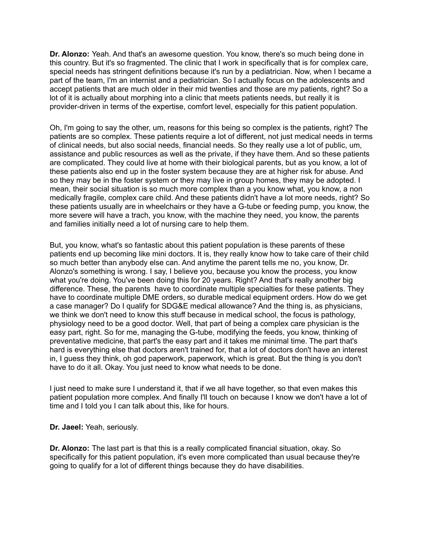**Dr. Alonzo:** Yeah. And that's an awesome question. You know, there's so much being done in this country. But it's so fragmented. The clinic that I work in specifically that is for complex care, special needs has stringent definitions because it's run by a pediatrician. Now, when I became a part of the team, I'm an internist and a pediatrician. So I actually focus on the adolescents and accept patients that are much older in their mid twenties and those are my patients, right? So a lot of it is actually about morphing into a clinic that meets patients needs, but really it is provider-driven in terms of the expertise, comfort level, especially for this patient population.

Oh, I'm going to say the other, um, reasons for this being so complex is the patients, right? The patients are so complex. These patients require a lot of different, not just medical needs in terms of clinical needs, but also social needs, financial needs. So they really use a lot of public, um, assistance and public resources as well as the private, if they have them. And so these patients are complicated. They could live at home with their biological parents, but as you know, a lot of these patients also end up in the foster system because they are at higher risk for abuse. And so they may be in the foster system or they may live in group homes, they may be adopted. I mean, their social situation is so much more complex than a you know what, you know, a non medically fragile, complex care child. And these patients didn't have a lot more needs, right? So these patients usually are in wheelchairs or they have a G-tube or feeding pump, you know, the more severe will have a trach, you know, with the machine they need, you know, the parents and families initially need a lot of nursing care to help them.

But, you know, what's so fantastic about this patient population is these parents of these patients end up becoming like mini doctors. It is, they really know how to take care of their child so much better than anybody else can. And anytime the parent tells me no, you know, Dr. Alonzo's something is wrong. I say, I believe you, because you know the process, you know what you're doing. You've been doing this for 20 years. Right? And that's really another big difference. These, the parents have to coordinate multiple specialties for these patients. They have to coordinate multiple DME orders, so durable medical equipment orders. How do we get a case manager? Do I qualify for SDG&E medical allowance? And the thing is, as physicians, we think we don't need to know this stuff because in medical school, the focus is pathology, physiology need to be a good doctor. Well, that part of being a complex care physician is the easy part, right. So for me, managing the G-tube, modifying the feeds, you know, thinking of preventative medicine, that part's the easy part and it takes me minimal time. The part that's hard is everything else that doctors aren't trained for, that a lot of doctors don't have an interest in, I guess they think, oh god paperwork, paperwork, which is great. But the thing is you don't have to do it all. Okay. You just need to know what needs to be done.

I just need to make sure I understand it, that if we all have together, so that even makes this patient population more complex. And finally I'll touch on because I know we don't have a lot of time and I told you I can talk about this, like for hours.

**Dr. Jaeel:** Yeah, seriously.

**Dr. Alonzo:** The last part is that this is a really complicated financial situation, okay. So specifically for this patient population, it's even more complicated than usual because they're going to qualify for a lot of different things because they do have disabilities.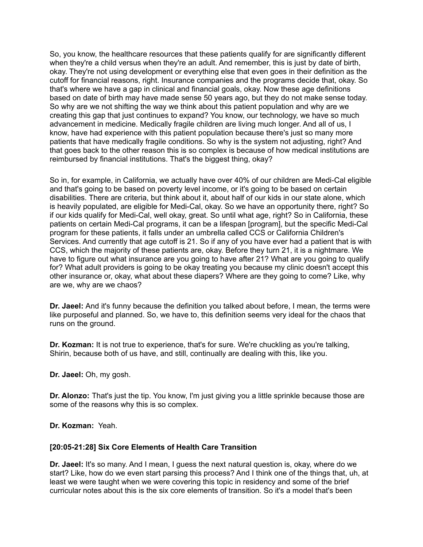So, you know, the healthcare resources that these patients qualify for are significantly different when they're a child versus when they're an adult. And remember, this is just by date of birth, okay. They're not using development or everything else that even goes in their definition as the cutoff for financial reasons, right. Insurance companies and the programs decide that, okay. So that's where we have a gap in clinical and financial goals, okay. Now these age definitions based on date of birth may have made sense 50 years ago, but they do not make sense today. So why are we not shifting the way we think about this patient population and why are we creating this gap that just continues to expand? You know, our technology, we have so much advancement in medicine. Medically fragile children are living much longer. And all of us, I know, have had experience with this patient population because there's just so many more patients that have medically fragile conditions. So why is the system not adjusting, right? And that goes back to the other reason this is so complex is because of how medical institutions are reimbursed by financial institutions. That's the biggest thing, okay?

So in, for example, in California, we actually have over 40% of our children are Medi-Cal eligible and that's going to be based on poverty level income, or it's going to be based on certain disabilities. There are criteria, but think about it, about half of our kids in our state alone, which is heavily populated, are eligible for Medi-Cal, okay. So we have an opportunity there, right? So if our kids qualify for Medi-Cal, well okay, great. So until what age, right? So in California, these patients on certain Medi-Cal programs, it can be a lifespan [program], but the specific Medi-Cal program for these patients, it falls under an umbrella called CCS or California Children's Services. And currently that age cutoff is 21. So if any of you have ever had a patient that is with CCS, which the majority of these patients are, okay. Before they turn 21, it is a nightmare. We have to figure out what insurance are you going to have after 21? What are you going to qualify for? What adult providers is going to be okay treating you because my clinic doesn't accept this other insurance or, okay, what about these diapers? Where are they going to come? Like, why are we, why are we chaos?

**Dr. Jaeel:** And it's funny because the definition you talked about before, I mean, the terms were like purposeful and planned. So, we have to, this definition seems very ideal for the chaos that runs on the ground.

**Dr. Kozman:** It is not true to experience, that's for sure. We're chuckling as you're talking, Shirin, because both of us have, and still, continually are dealing with this, like you.

**Dr. Jaeel:** Oh, my gosh.

**Dr. Alonzo:** That's just the tip. You know, I'm just giving you a little sprinkle because those are some of the reasons why this is so complex.

**Dr. Kozman:** Yeah.

#### **[20:05-21:28] Six Core Elements of Health Care Transition**

**Dr. Jaeel:** It's so many. And I mean, I guess the next natural question is, okay, where do we start? Like, how do we even start parsing this process? And I think one of the things that, uh, at least we were taught when we were covering this topic in residency and some of the brief curricular notes about this is the six core elements of transition. So it's a model that's been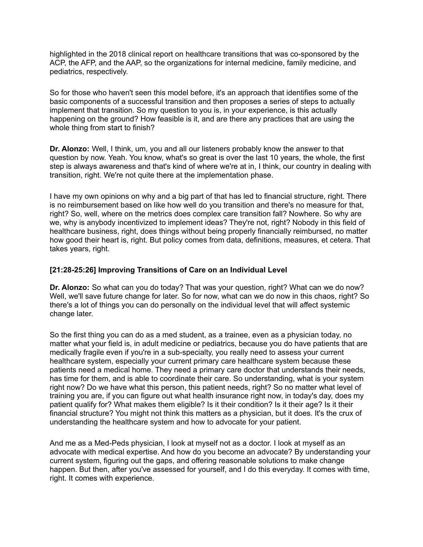highlighted in the 2018 clinical report on healthcare transitions that was co-sponsored by the ACP, the AFP, and the AAP, so the organizations for internal medicine, family medicine, and pediatrics, respectively.

So for those who haven't seen this model before, it's an approach that identifies some of the basic components of a successful transition and then proposes a series of steps to actually implement that transition. So my question to you is, in your experience, is this actually happening on the ground? How feasible is it, and are there any practices that are using the whole thing from start to finish?

**Dr. Alonzo:** Well, I think, um, you and all our listeners probably know the answer to that question by now. Yeah. You know, what's so great is over the last 10 years, the whole, the first step is always awareness and that's kind of where we're at in, I think, our country in dealing with transition, right. We're not quite there at the implementation phase.

I have my own opinions on why and a big part of that has led to financial structure, right. There is no reimbursement based on like how well do you transition and there's no measure for that, right? So, well, where on the metrics does complex care transition fall? Nowhere. So why are we, why is anybody incentivized to implement ideas? They're not, right? Nobody in this field of healthcare business, right, does things without being properly financially reimbursed, no matter how good their heart is, right. But policy comes from data, definitions, measures, et cetera. That takes years, right.

### **[21:28-25:26] Improving Transitions of Care on an Individual Level**

**Dr. Alonzo:** So what can you do today? That was your question, right? What can we do now? Well, we'll save future change for later. So for now, what can we do now in this chaos, right? So there's a lot of things you can do personally on the individual level that will affect systemic change later.

So the first thing you can do as a med student, as a trainee, even as a physician today, no matter what your field is, in adult medicine or pediatrics, because you do have patients that are medically fragile even if you're in a sub-specialty, you really need to assess your current healthcare system, especially your current primary care healthcare system because these patients need a medical home. They need a primary care doctor that understands their needs, has time for them, and is able to coordinate their care. So understanding, what is your system right now? Do we have what this person, this patient needs, right? So no matter what level of training you are, if you can figure out what health insurance right now, in today's day, does my patient qualify for? What makes them eligible? Is it their condition? Is it their age? Is it their financial structure? You might not think this matters as a physician, but it does. It's the crux of understanding the healthcare system and how to advocate for your patient.

And me as a Med-Peds physician, I look at myself not as a doctor. I look at myself as an advocate with medical expertise. And how do you become an advocate? By understanding your current system, figuring out the gaps, and offering reasonable solutions to make change happen. But then, after you've assessed for yourself, and I do this everyday. It comes with time, right. It comes with experience.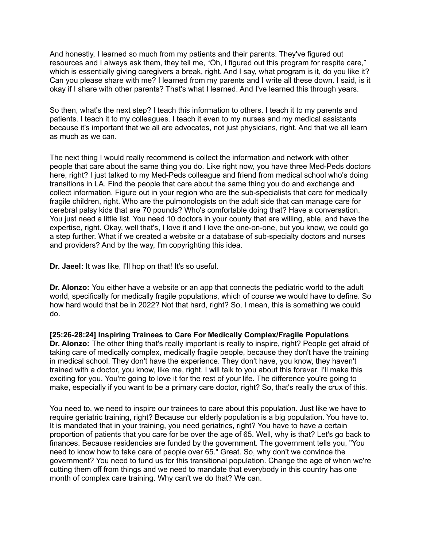And honestly, I learned so much from my patients and their parents. They've figured out resources and I always ask them, they tell me, "Öh, I figured out this program for respite care," which is essentially giving caregivers a break, right. And I say, what program is it, do you like it? Can you please share with me? I learned from my parents and I write all these down. I said, is it okay if I share with other parents? That's what I learned. And I've learned this through years.

So then, what's the next step? I teach this information to others. I teach it to my parents and patients. I teach it to my colleagues. I teach it even to my nurses and my medical assistants because it's important that we all are advocates, not just physicians, right. And that we all learn as much as we can.

The next thing I would really recommend is collect the information and network with other people that care about the same thing you do. Like right now, you have three Med-Peds doctors here, right? I just talked to my Med-Peds colleague and friend from medical school who's doing transitions in LA. Find the people that care about the same thing you do and exchange and collect information. Figure out in your region who are the sub-specialists that care for medically fragile children, right. Who are the pulmonologists on the adult side that can manage care for cerebral palsy kids that are 70 pounds? Who's comfortable doing that? Have a conversation. You just need a little list. You need 10 doctors in your county that are willing, able, and have the expertise, right. Okay, well that's, I love it and I love the one-on-one, but you know, we could go a step further. What if we created a website or a database of sub-specialty doctors and nurses and providers? And by the way, I'm copyrighting this idea.

**Dr. Jaeel:** It was like, I'll hop on that! It's so useful.

**Dr. Alonzo:** You either have a website or an app that connects the pediatric world to the adult world, specifically for medically fragile populations, which of course we would have to define. So how hard would that be in 2022? Not that hard, right? So, I mean, this is something we could do.

**[25:26-28:24] Inspiring Trainees to Care For Medically Complex/Fragile Populations Dr. Alonzo:** The other thing that's really important is really to inspire, right? People get afraid of taking care of medically complex, medically fragile people, because they don't have the training in medical school. They don't have the experience. They don't have, you know, they haven't trained with a doctor, you know, like me, right. I will talk to you about this forever. I'll make this exciting for you. You're going to love it for the rest of your life. The difference you're going to make, especially if you want to be a primary care doctor, right? So, that's really the crux of this.

You need to, we need to inspire our trainees to care about this population. Just like we have to require geriatric training, right? Because our elderly population is a big population. You have to. It is mandated that in your training, you need geriatrics, right? You have to have a certain proportion of patients that you care for be over the age of 65. Well, why is that? Let's go back to finances. Because residencies are funded by the government. The government tells you, "You need to know how to take care of people over 65." Great. So, why don't we convince the government? You need to fund us for this transitional population. Change the age of when we're cutting them off from things and we need to mandate that everybody in this country has one month of complex care training. Why can't we do that? We can.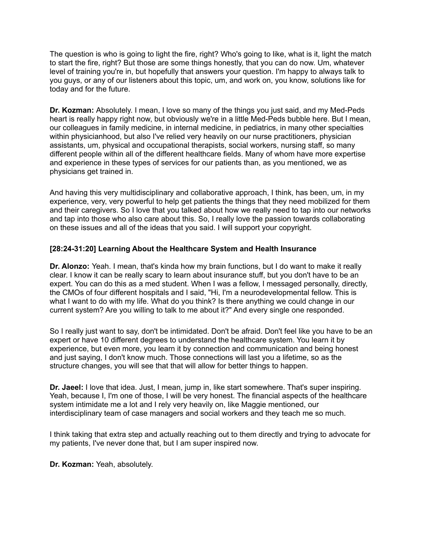The question is who is going to light the fire, right? Who's going to like, what is it, light the match to start the fire, right? But those are some things honestly, that you can do now. Um, whatever level of training you're in, but hopefully that answers your question. I'm happy to always talk to you guys, or any of our listeners about this topic, um, and work on, you know, solutions like for today and for the future.

**Dr. Kozman:** Absolutely. I mean, I love so many of the things you just said, and my Med-Peds heart is really happy right now, but obviously we're in a little Med-Peds bubble here. But I mean, our colleagues in family medicine, in internal medicine, in pediatrics, in many other specialties within physicianhood, but also I've relied very heavily on our nurse practitioners, physician assistants, um, physical and occupational therapists, social workers, nursing staff, so many different people within all of the different healthcare fields. Many of whom have more expertise and experience in these types of services for our patients than, as you mentioned, we as physicians get trained in.

And having this very multidisciplinary and collaborative approach, I think, has been, um, in my experience, very, very powerful to help get patients the things that they need mobilized for them and their caregivers. So I love that you talked about how we really need to tap into our networks and tap into those who also care about this. So, I really love the passion towards collaborating on these issues and all of the ideas that you said. I will support your copyright.

## **[28:24-31:20] Learning About the Healthcare System and Health Insurance**

**Dr. Alonzo:** Yeah. I mean, that's kinda how my brain functions, but I do want to make it really clear. I know it can be really scary to learn about insurance stuff, but you don't have to be an expert. You can do this as a med student. When I was a fellow, I messaged personally, directly, the CMOs of four different hospitals and I said, "Hi, I'm a neurodevelopmental fellow. This is what I want to do with my life. What do you think? Is there anything we could change in our current system? Are you willing to talk to me about it?" And every single one responded.

So I really just want to say, don't be intimidated. Don't be afraid. Don't feel like you have to be an expert or have 10 different degrees to understand the healthcare system. You learn it by experience, but even more, you learn it by connection and communication and being honest and just saying, I don't know much. Those connections will last you a lifetime, so as the structure changes, you will see that that will allow for better things to happen.

**Dr. Jaeel:** I love that idea. Just, I mean, jump in, like start somewhere. That's super inspiring. Yeah, because I, I'm one of those, I will be very honest. The financial aspects of the healthcare system intimidate me a lot and I rely very heavily on, like Maggie mentioned, our interdisciplinary team of case managers and social workers and they teach me so much.

I think taking that extra step and actually reaching out to them directly and trying to advocate for my patients, I've never done that, but I am super inspired now.

**Dr. Kozman:** Yeah, absolutely.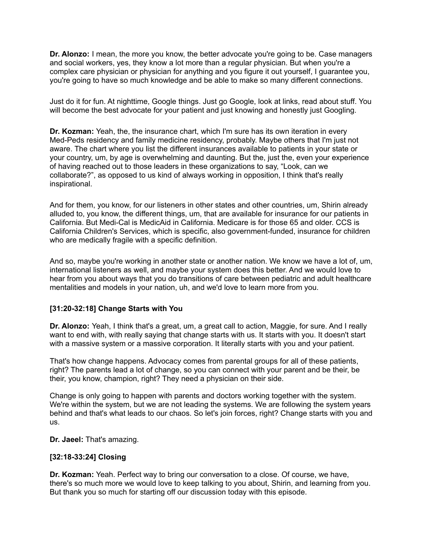**Dr. Alonzo:** I mean, the more you know, the better advocate you're going to be. Case managers and social workers, yes, they know a lot more than a regular physician. But when you're a complex care physician or physician for anything and you figure it out yourself, I guarantee you, you're going to have so much knowledge and be able to make so many different connections.

Just do it for fun. At nighttime, Google things. Just go Google, look at links, read about stuff. You will become the best advocate for your patient and just knowing and honestly just Googling.

**Dr. Kozman:** Yeah, the, the insurance chart, which I'm sure has its own iteration in every Med-Peds residency and family medicine residency, probably. Maybe others that I'm just not aware. The chart where you list the different insurances available to patients in your state or your country, um, by age is overwhelming and daunting. But the, just the, even your experience of having reached out to those leaders in these organizations to say, "Look, can we collaborate?", as opposed to us kind of always working in opposition, I think that's really inspirational.

And for them, you know, for our listeners in other states and other countries, um, Shirin already alluded to, you know, the different things, um, that are available for insurance for our patients in California. But Medi-Cal is MedicAid in California. Medicare is for those 65 and older. CCS is California Children's Services, which is specific, also government-funded, insurance for children who are medically fragile with a specific definition.

And so, maybe you're working in another state or another nation. We know we have a lot of, um, international listeners as well, and maybe your system does this better. And we would love to hear from you about ways that you do transitions of care between pediatric and adult healthcare mentalities and models in your nation, uh, and we'd love to learn more from you.

## **[31:20-32:18] Change Starts with You**

**Dr. Alonzo:** Yeah, I think that's a great, um, a great call to action, Maggie, for sure. And I really want to end with, with really saying that change starts with us. It starts with you. It doesn't start with a massive system or a massive corporation. It literally starts with you and your patient.

That's how change happens. Advocacy comes from parental groups for all of these patients, right? The parents lead a lot of change, so you can connect with your parent and be their, be their, you know, champion, right? They need a physician on their side.

Change is only going to happen with parents and doctors working together with the system. We're within the system, but we are not leading the systems. We are following the system years behind and that's what leads to our chaos. So let's join forces, right? Change starts with you and us.

**Dr. Jaeel:** That's amazing.

#### **[32:18-33:24] Closing**

**Dr. Kozman:** Yeah. Perfect way to bring our conversation to a close. Of course, we have, there's so much more we would love to keep talking to you about, Shirin, and learning from you. But thank you so much for starting off our discussion today with this episode.